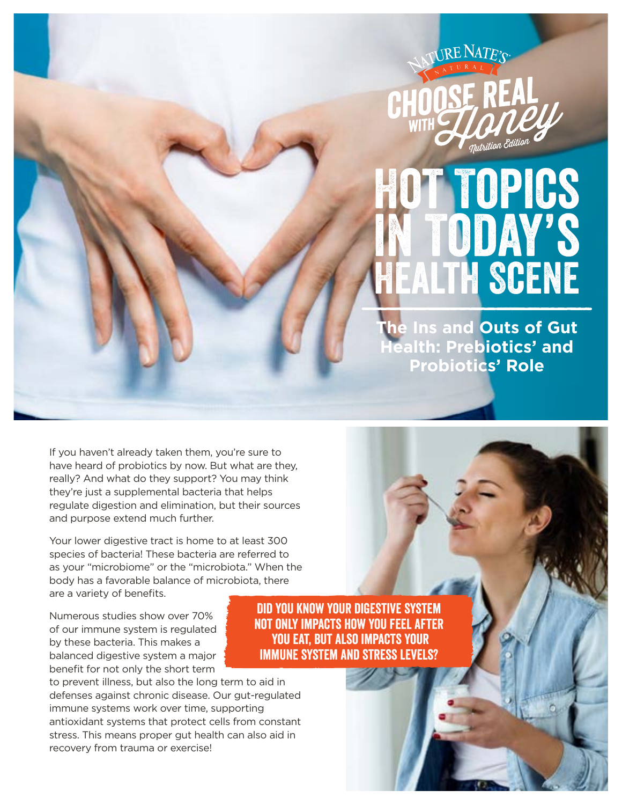

# Hot Topics in Today's **ALTH SCENE**

**The Ins and Outs of Gut Health: Prebiotics' and Probiotics' Role**

If you haven't already taken them, you're sure to have heard of probiotics by now. But what are they, really? And what do they support? You may think they're just a supplemental bacteria that helps regulate digestion and elimination, but their sources and purpose extend much further.

Your lower digestive tract is home to at least 300 species of bacteria! These bacteria are referred to as your "microbiome" or the "microbiota." When the body has a favorable balance of microbiota, there are a variety of benefits.

Numerous studies show over 70% of our immune system is regulated by these bacteria. This makes a balanced digestive system a major benefit for not only the short term

to prevent illness, but also the long term to aid in defenses against chronic disease. Our gut-regulated immune systems work over time, supporting antioxidant systems that protect cells from constant stress. This means proper gut health can also aid in recovery from trauma or exercise!

Did you know your digestive system not only impacts how you feel after you eat, but also impacts your immune system and stress levels?